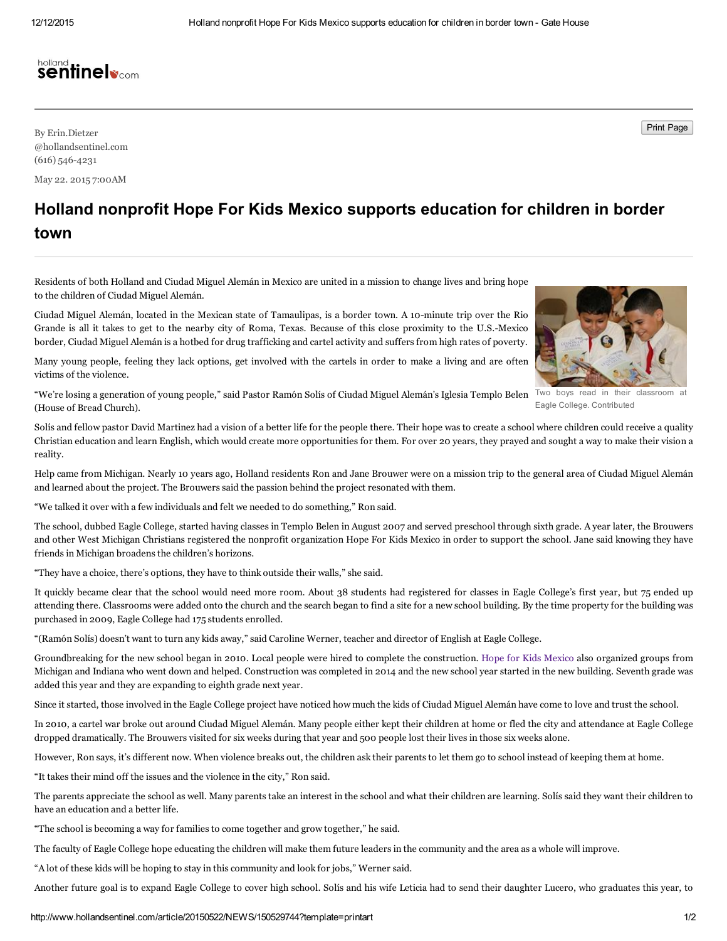## holland<br>**Sentinelv**com

By Erin. Dietzer Print Page Print Page Print Page Print Page Print Page Print Page Print Page Print Page Print Page Print Page Print Page Print Page Print Page Print Page Print Page Print Page Print Page Print Page Print P @hollandsentinel.com  $(616)$  546-4231

May 22. 2015 7:00AM

## Holland nonprofit Hope For Kids Mexico supports education for children in border town

Residents of both Holland and Ciudad Miguel Alemán in Mexico are united in a mission to change lives and bring hope to the children of Ciudad Miguel Alemán.

Ciudad Miguel Alemán, located in the Mexican state of Tamaulipas, is a border town. A 10-minute trip over the Rio Grande is all it takes to get to the nearby city of Roma, Texas. Because of this close proximity to the U.S.Mexico border, Ciudad Miguel Alemán is a hotbed for drug trafficking and cartel activity and suffers from high rates of poverty.

Many young people, feeling they lack options, get involved with the cartels in order to make a living and are often victims of the violence.

"We're losing a generation of young people," said Pastor Ramón Solís of Ciudad Miguel Alemán's Iglesia Templo Belen <sup>Two boys</sup> read in their classroom at (House of Bread Church).

Solís and fellow pastor David Martinez had a vision of a better life for the people there. Their hope was to create a school where children could receive a quality Christian education and learn English, which would create more opportunities for them. For over 20 years, they prayed and sought a way to make their vision a reality.

Help came from Michigan. Nearly 10 years ago, Holland residents Ron and Jane Brouwer were on a mission trip to the general area of Ciudad Miguel Alemán and learned about the project. The Brouwers said the passion behind the project resonated with them.

"We talked it over with a few individuals and felt we needed to do something," Ron said.

The school, dubbed Eagle College, started having classes in Templo Belen in August 2007 and served preschool through sixth grade. A year later, the Brouwers and other West Michigan Christians registered the nonprofit organization Hope For Kids Mexico in order to support the school. Jane said knowing they have friends in Michigan broadens the children's horizons.

"They have a choice, there's options, they have to think outside their walls," she said.

It quickly became clear that the school would need more room. About 38 students had registered for classes in Eagle College's first year, but 75 ended up attending there. Classrooms were added onto the church and the search began to find a site for a new school building. By the time property for the building was purchased in 2009, Eagle College had 175 students enrolled.

"(Ramón Solís) doesn't want to turn any kids away," said Caroline Werner, teacher and director of English at Eagle College.

Groundbreaking for the new school began in 2010. Local people were hired to complete the construction. Hope for Kids [Mexico](http://www.hopeforkidsmexico.com/) also organized groups from Michigan and Indiana who went down and helped. Construction was completed in 2014 and the new school year started in the new building. Seventh grade was added this year and they are expanding to eighth grade next year.

Since it started, those involved in the Eagle College project have noticed how much the kids of Ciudad Miguel Alemán have come to love and trust the school.

In 2010, a cartel war broke out around Ciudad Miguel Alemán. Many people either kept their children at home or fled the city and attendance at Eagle College dropped dramatically. The Brouwers visited for six weeks during that year and 500 people lost their lives in those six weeks alone.

However, Ron says, it's different now. When violence breaks out, the children ask their parents to let them go to school instead of keeping them at home.

"It takes their mind off the issues and the violence in the city," Ron said.

The parents appreciate the school as well. Many parents take an interest in the school and what their children are learning. Solís said they want their children to have an education and a better life.

"The school is becoming a way for families to come together and grow together," he said.

The faculty of Eagle College hope educating the children will make them future leaders in the community and the area as a whole will improve.

"A lot of these kids will be hoping to stay in this community and look for jobs," Werner said.

Another future goal is to expand Eagle College to cover high school. Solís and his wife Leticia had to send their daughter Lucero, who graduates this year, to